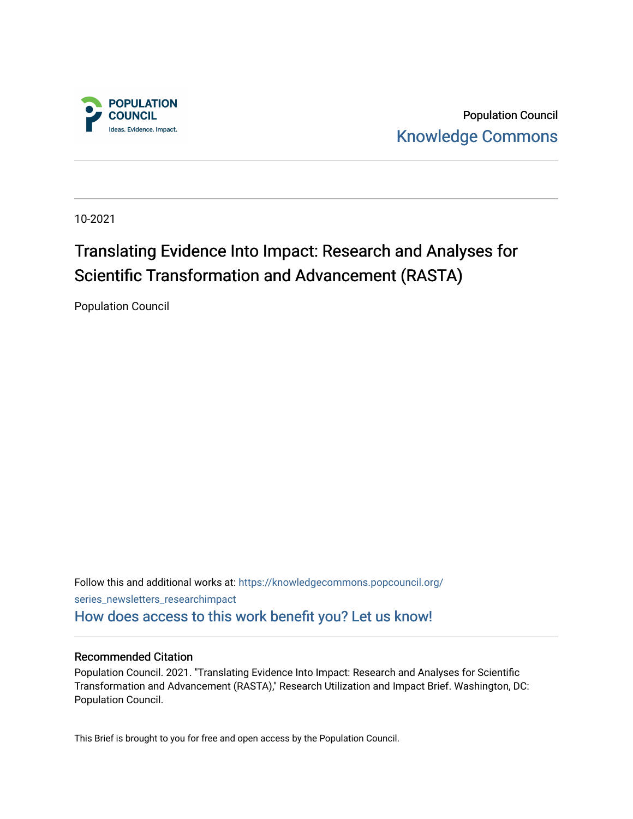

Population Council [Knowledge Commons](https://knowledgecommons.popcouncil.org/) 

10-2021

## Translating Evidence Into Impact: Research and Analyses for Scientific Transformation and Advancement (RASTA)

Population Council

Follow this and additional works at: [https://knowledgecommons.popcouncil.org/](https://knowledgecommons.popcouncil.org/series_newsletters_researchimpact?utm_source=knowledgecommons.popcouncil.org%2Fseries_newsletters_researchimpact%2F7&utm_medium=PDF&utm_campaign=PDFCoverPages) [series\\_newsletters\\_researchimpact](https://knowledgecommons.popcouncil.org/series_newsletters_researchimpact?utm_source=knowledgecommons.popcouncil.org%2Fseries_newsletters_researchimpact%2F7&utm_medium=PDF&utm_campaign=PDFCoverPages)  [How does access to this work benefit you? Let us know!](https://pcouncil.wufoo.com/forms/open-access-to-population-council-research/)

#### Recommended Citation

Population Council. 2021. "Translating Evidence Into Impact: Research and Analyses for Scientific Transformation and Advancement (RASTA)," Research Utilization and Impact Brief. Washington, DC: Population Council.

This Brief is brought to you for free and open access by the Population Council.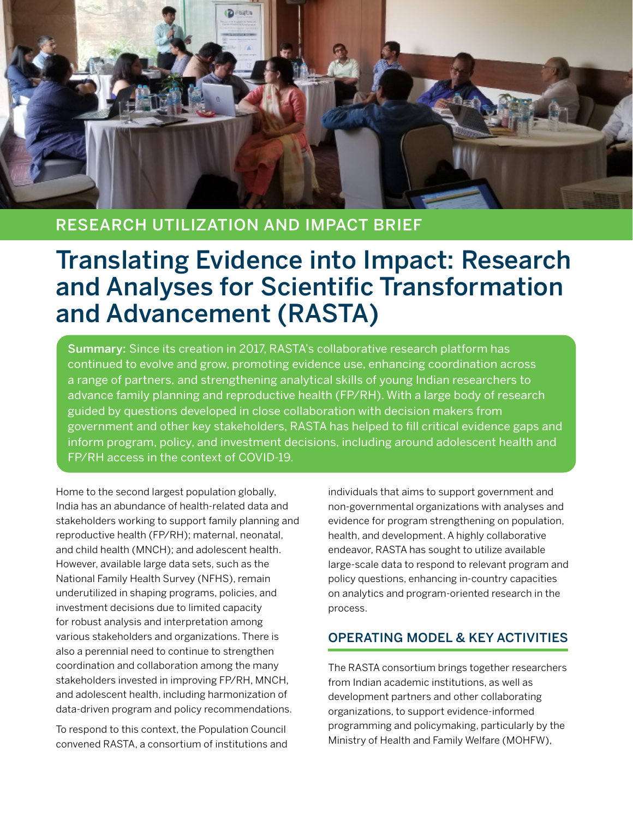

## RESEARCH UTILIZATION AND IMPACT BRIEF

# Translating Evidence into Impact: Research and Analyses for Scientific Transformation and Advancement (RASTA)

Summary: Since its creation in 2017, RASTA's collaborative research platform has continued to evolve and grow, promoting evidence use, enhancing coordination across a range of partners, and strengthening analytical skills of young Indian researchers to advance family planning and reproductive health (FP/RH). With a large body of research guided by questions developed in close collaboration with decision makers from government and other key stakeholders, RASTA has helped to fill critical evidence gaps and inform program, policy, and investment decisions, including around adolescent health and FP/RH access in the context of COVID-19.

Home to the second largest population globally, India has an abundance of health-related data and stakeholders working to support family planning and reproductive health (FP/RH); maternal, neonatal, and child health (MNCH); and adolescent health. However, available large data sets, such as the National Family Health Survey (NFHS), remain underutilized in shaping programs, policies, and investment decisions due to limited capacity for robust analysis and interpretation among various stakeholders and organizations. There is also a perennial need to continue to strengthen coordination and collaboration among the many stakeholders invested in improving FP/RH, MNCH, and adolescent health, including harmonization of data-driven program and policy recommendations.

To respond to this context, the Population Council convened RASTA, a consortium of institutions and individuals that aims to support government and non-governmental organizations with analyses and evidence for program strengthening on population, health, and development. A highly collaborative endeavor, RASTA has sought to utilize available large-scale data to respond to relevant program and policy questions, enhancing in-country capacities on analytics and program-oriented research in the process.

#### OPERATING MODEL & KEY ACTIVITIES

The RASTA consortium brings together researchers from Indian academic institutions, as well as development partners and other collaborating organizations, to support evidence-informed programming and policymaking, particularly by the Ministry of Health and Family Welfare (MOHFW),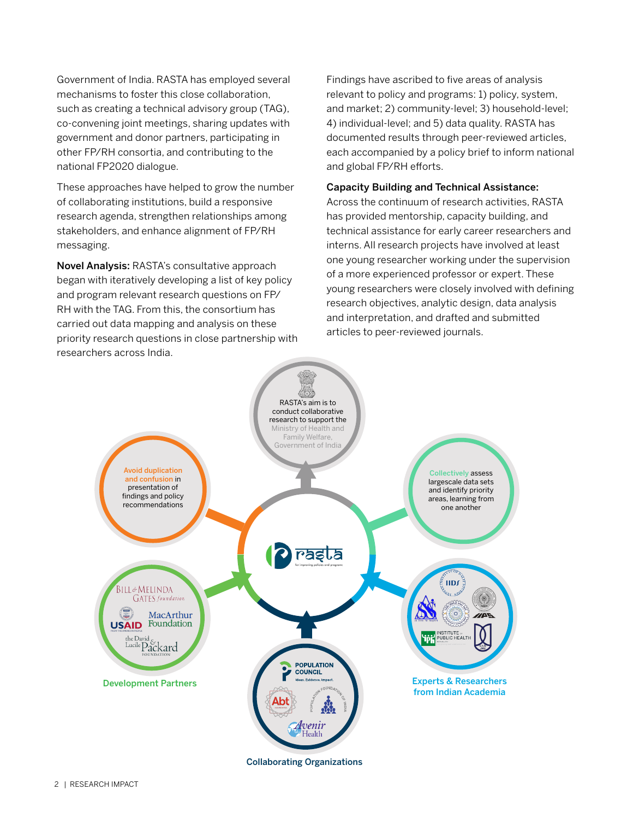Government of India. RASTA has employed several mechanisms to foster this close collaboration, such as creating a technical advisory group (TAG), co-convening joint meetings, sharing updates with government and donor partners, participating in other FP/RH consortia, and contributing to the national FP2020 dialogue.

These approaches have helped to grow the number of collaborating institutions, build a responsive research agenda, strengthen relationships among stakeholders, and enhance alignment of FP/RH messaging.

Novel Analysis: RASTA's consultative approach began with iteratively developing a list of key policy and program relevant research questions on FP/ RH with the TAG. From this, the consortium has carried out data mapping and analysis on these priority research questions in close partnership with researchers across India.

Findings have ascribed to five areas of analysis relevant to policy and programs: 1) policy, system, and market; 2) community-level; 3) household-level; 4) individual-level; and 5) data quality. RASTA has documented results through peer-reviewed articles, each accompanied by a policy brief to inform national and global FP/RH efforts.

#### Capacity Building and Technical Assistance:

Across the continuum of research activities, RASTA has provided mentorship, capacity building, and technical assistance for early career researchers and interns. All research projects have involved at least one young researcher working under the supervision of a more experienced professor or expert. These young researchers were closely involved with defining research objectives, analytic design, data analysis and interpretation, and drafted and submitted articles to peer-reviewed journals.



Collaborating Organizations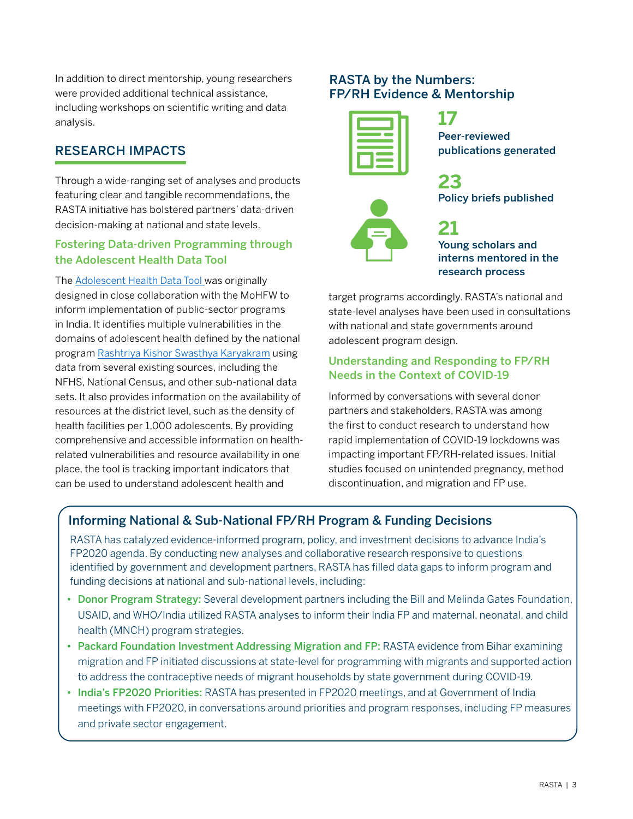In addition to direct mentorship, young researchers were provided additional technical assistance, including workshops on scientific writing and data analysis.

### RESEARCH IMPACTS

Through a wide-ranging set of analyses and products featuring clear and tangible recommendations, the RASTA initiative has bolstered partners' data-driven decision-making at national and state levels.

#### Fostering Data-driven Programming through the Adolescent Health Data Tool

The [Adolescent Health Data Tool w](https://popcouncilinstitute.org/program-policy-research/)as originally designed in close collaboration with the MoHFW to inform implementation of public-sector programs in India. It identifies multiple vulnerabilities in the domains of adolescent health defined by the national program [Rashtriya Kishor Swasthya Karyakram](https://nhm.gov.in/index1.php?lang=1&level=2&sublinkid=818&lid=221) using data from several existing sources, including the NFHS, National Census, and other sub-national data sets. It also provides information on the availability of resources at the district level, such as the density of health facilities per 1,000 adolescents. By providing comprehensive and accessible information on healthrelated vulnerabilities and resource availability in one place, the tool is tracking important indicators that can be used to understand adolescent health and

#### RASTA by the Numbers: FP/RH Evidence & Mentorship

**17** Peer-reviewed publications generated



**21** Young scholars and interns mentored in the

research process

Policy briefs published

target programs accordingly. RASTA's national and state-level analyses have been used in consultations with national and state governments around adolescent program design.

**23**

#### Understanding and Responding to FP/RH Needs in the Context of COVID-19

Informed by conversations with several donor partners and stakeholders, RASTA was among the first to conduct research to understand how rapid implementation of COVID-19 lockdowns was impacting important FP/RH-related issues. Initial studies focused on unintended pregnancy, method discontinuation, and migration and FP use.

## Informing National & Sub-National FP/RH Program & Funding Decisions

RASTA has catalyzed evidence-informed program, policy, and investment decisions to advance India's FP2020 agenda. By conducting new analyses and collaborative research responsive to questions identified by government and development partners, RASTA has filled data gaps to inform program and funding decisions at national and sub-national levels, including:

- Donor Program Strategy: Several development partners including the Bill and Melinda Gates Foundation, USAID, and WHO/India utilized RASTA analyses to inform their India FP and maternal, neonatal, and child health (MNCH) program strategies.
- Packard Foundation Investment Addressing Migration and FP: RASTA evidence from Bihar examining migration and FP initiated discussions at state-level for programming with migrants and supported action to address the contraceptive needs of migrant households by state government during COVID-19.
- India's FP2020 Priorities: RASTA has presented in FP2020 meetings, and at Government of India meetings with FP2020, in conversations around priorities and program responses, including FP measures and private sector engagement.